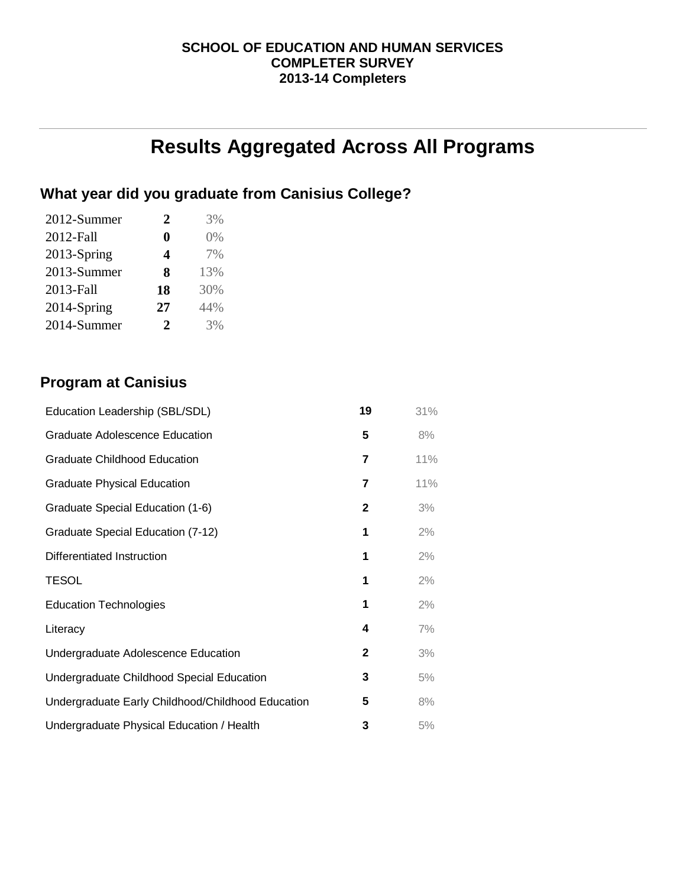## **SCHOOL OF EDUCATION AND HUMAN SERVICES COMPLETER SURVEY 2013-14 Completers**

# **Results Aggregated Across All Programs**

# **What year did you graduate from Canisius College?**

| 2012-Summer | 2                     | 3%    |
|-------------|-----------------------|-------|
| 2012-Fall   | 0                     | $0\%$ |
| 2013-Spring | 4                     | 7%    |
| 2013-Summer | 8                     | 13%   |
| 2013-Fall   | 18                    | 30%   |
| 2014-Spring | 27                    | 44%   |
| 2014-Summer | $\mathcal{D}_{\cdot}$ | 3%    |

# **Program at Canisius**

| Education Leadership (SBL/SDL)                    | 19 | 31% |
|---------------------------------------------------|----|-----|
| <b>Graduate Adolescence Education</b>             | 5  | 8%  |
| <b>Graduate Childhood Education</b>               | 7  | 11% |
| <b>Graduate Physical Education</b>                | 7  | 11% |
| Graduate Special Education (1-6)                  | 2  | 3%  |
| Graduate Special Education (7-12)                 | 1  | 2%  |
| Differentiated Instruction                        | 1  | 2%  |
| <b>TESOL</b>                                      | 1  | 2%  |
| <b>Education Technologies</b>                     | 1  | 2%  |
| Literacy                                          | 4  | 7%  |
| Undergraduate Adolescence Education               | 2  | 3%  |
| Undergraduate Childhood Special Education         | 3  | 5%  |
| Undergraduate Early Childhood/Childhood Education | 5  | 8%  |
| Undergraduate Physical Education / Health         | 3  | 5%  |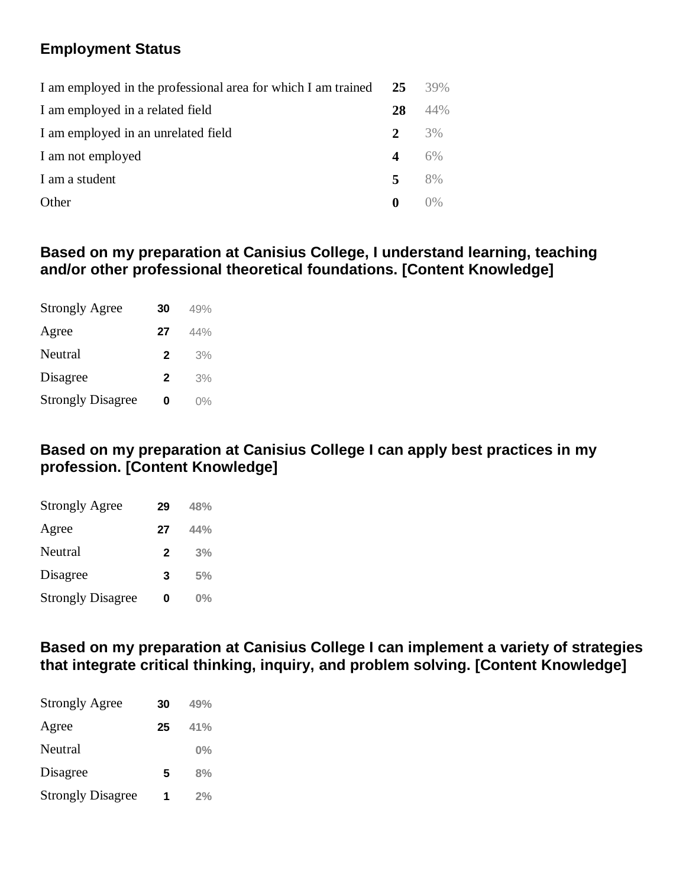# **Employment Status**

| I am employed in the professional area for which I am trained | 25               | 39% |
|---------------------------------------------------------------|------------------|-----|
| I am employed in a related field                              | 28               | 44% |
| I am employed in an unrelated field                           | 2                | 3%  |
| I am not employed                                             | $\boldsymbol{4}$ | 6%  |
| I am a student                                                | 5                | 8%  |
| Other                                                         | $\bf{0}$         | 0%  |

# **Based on my preparation at Canisius College, I understand learning, teaching and/or other professional theoretical foundations. [Content Knowledge]**

| <b>Strongly Agree</b>    | 30           | 49%   |
|--------------------------|--------------|-------|
| Agree                    | 27           | 44%   |
| Neutral                  | $\mathbf{2}$ | 3%    |
| Disagree                 | $\mathbf{2}$ | 3%    |
| <b>Strongly Disagree</b> | O            | $0\%$ |

# **Based on my preparation at Canisius College I can apply best practices in my profession. [Content Knowledge]**

| <b>Strongly Agree</b>    | 29           | 48%   |
|--------------------------|--------------|-------|
| Agree                    | 27           | 44%   |
| Neutral                  | $\mathbf{2}$ | 3%    |
| Disagree                 | 3            | 5%    |
| <b>Strongly Disagree</b> | 0            | $0\%$ |

**Based on my preparation at Canisius College I can implement a variety of strategies that integrate critical thinking, inquiry, and problem solving. [Content Knowledge]**

| <b>Strongly Agree</b>    | 30 | 49%   |
|--------------------------|----|-------|
| Agree                    | 25 | 41%   |
| Neutral                  |    | $0\%$ |
| Disagree                 | 5  | 8%    |
| <b>Strongly Disagree</b> | 1  | 2%    |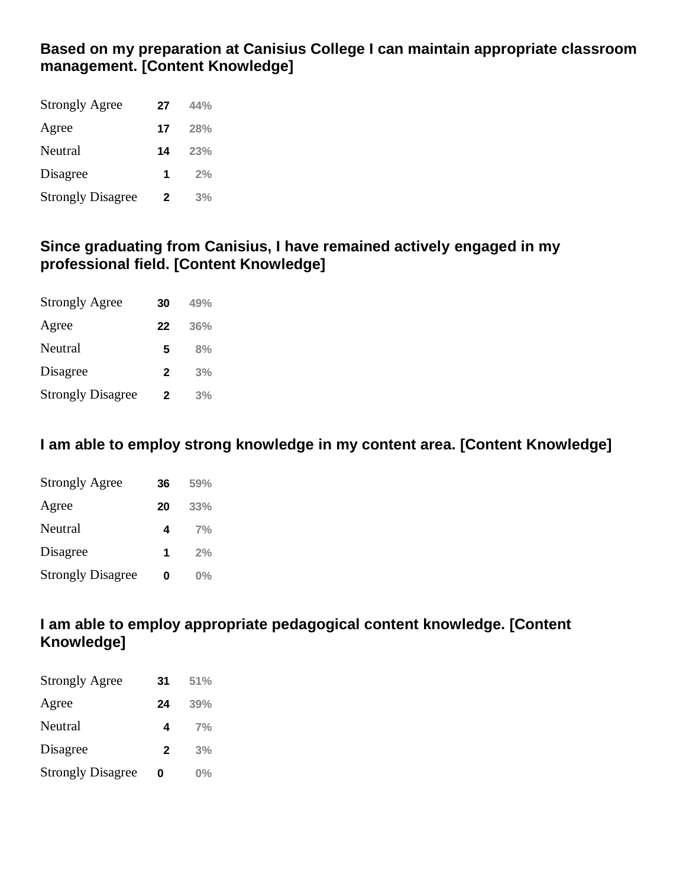# **Based on my preparation at Canisius College I can maintain appropriate classroom management. [Content Knowledge]**

| <b>Strongly Agree</b>    | 27 | 44% |
|--------------------------|----|-----|
| Agree                    | 17 | 28% |
| Neutral                  | 14 | 23% |
| Disagree                 | 1  | 2%  |
| <b>Strongly Disagree</b> | 2  | 3%  |

## **Since graduating from Canisius, I have remained actively engaged in my professional field. [Content Knowledge]**

| <b>Strongly Agree</b>    | 30           | 49% |
|--------------------------|--------------|-----|
| Agree                    | 22           | 36% |
| Neutral                  | 5            | 8%  |
| Disagree                 | $\mathbf{2}$ | 3%  |
| <b>Strongly Disagree</b> | $\mathbf{2}$ | 3%  |

# **I am able to employ strong knowledge in my content area. [Content Knowledge]**

| <b>Strongly Agree</b>    | 36 | 59%   |
|--------------------------|----|-------|
| Agree                    | 20 | 33%   |
| Neutral                  | 4  | 7%    |
| Disagree                 | 1  | 2%    |
| <b>Strongly Disagree</b> | 0  | $0\%$ |

# **I am able to employ appropriate pedagogical content knowledge. [Content Knowledge]**

| <b>Strongly Agree</b>    | 31           | 51%   |
|--------------------------|--------------|-------|
| Agree                    | 24           | 39%   |
| Neutral                  | 4            | 7%    |
| Disagree                 | $\mathbf{2}$ | 3%    |
| <b>Strongly Disagree</b> | 0            | $0\%$ |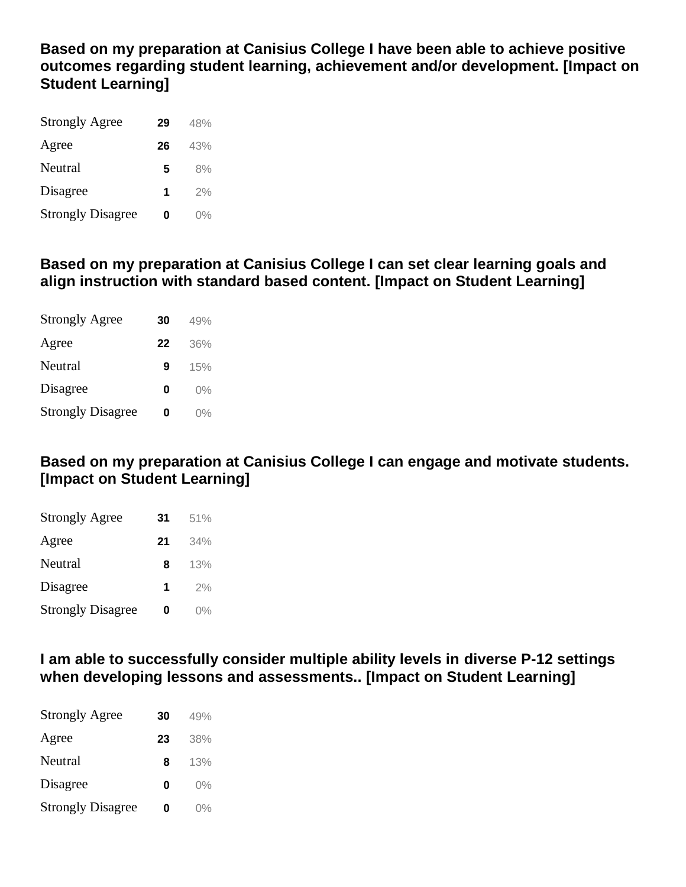**Based on my preparation at Canisius College I have been able to achieve positive outcomes regarding student learning, achievement and/or development. [Impact on Student Learning]**

| <b>Strongly Agree</b>    | 29 | 48%   |
|--------------------------|----|-------|
| Agree                    | 26 | 43%   |
| Neutral                  | 5  | 8%    |
| Disagree                 | 1  | 2%    |
| <b>Strongly Disagree</b> | 0  | $0\%$ |

# **Based on my preparation at Canisius College I can set clear learning goals and align instruction with standard based content. [Impact on Student Learning]**

| <b>Strongly Agree</b>    | 30 | 49%   |
|--------------------------|----|-------|
| Agree                    | 22 | 36%   |
| Neutral                  | 9  | 15%   |
| Disagree                 | Ω  | $0\%$ |
| <b>Strongly Disagree</b> | 0  | $0\%$ |

# **Based on my preparation at Canisius College I can engage and motivate students. [Impact on Student Learning]**

| <b>Strongly Agree</b>    | 31 | 51%   |
|--------------------------|----|-------|
| Agree                    | 21 | 34%   |
| Neutral                  | 8  | 13%   |
| Disagree                 | 1  | 2%    |
| <b>Strongly Disagree</b> | 0  | $0\%$ |

**I am able to successfully consider multiple ability levels in diverse P-12 settings when developing lessons and assessments.. [Impact on Student Learning]**

| <b>Strongly Agree</b>    | 30 | 49%   |
|--------------------------|----|-------|
| Agree                    | 23 | 38%   |
| Neutral                  | 8  | 13%   |
| Disagree                 | 0  | $0\%$ |
| <b>Strongly Disagree</b> | 0  | $0\%$ |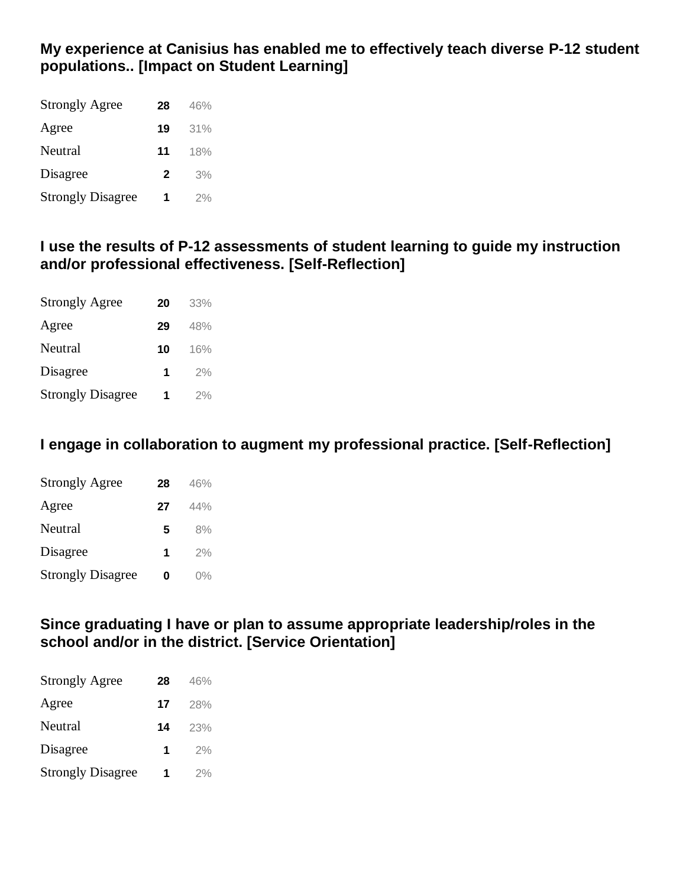## **My experience at Canisius has enabled me to effectively teach diverse P-12 student populations.. [Impact on Student Learning]**

| <b>Strongly Agree</b>    | 28           | 46% |
|--------------------------|--------------|-----|
| Agree                    | 19           | 31% |
| Neutral                  | 11           | 18% |
| Disagree                 | $\mathbf{2}$ | 3%  |
| <b>Strongly Disagree</b> | 1            | 2%  |

## **I use the results of P-12 assessments of student learning to guide my instruction and/or professional effectiveness. [Self-Reflection]**

| <b>Strongly Agree</b>    | 20 | 33% |
|--------------------------|----|-----|
| Agree                    | 29 | 48% |
| Neutral                  | 10 | 16% |
| Disagree                 | 1  | 2%  |
| <b>Strongly Disagree</b> | 1  | 2%  |

# **I engage in collaboration to augment my professional practice. [Self-Reflection]**

| <b>Strongly Agree</b>    | 28 | 46%   |
|--------------------------|----|-------|
| Agree                    | 27 | 44%   |
| Neutral                  | 5  | 8%    |
| Disagree                 | 1  | 2%    |
| <b>Strongly Disagree</b> | Ω  | $0\%$ |

## **Since graduating I have or plan to assume appropriate leadership/roles in the school and/or in the district. [Service Orientation]**

| <b>Strongly Agree</b>    | 28 | 46% |
|--------------------------|----|-----|
| Agree                    | 17 | 28% |
| Neutral                  | 14 | 23% |
| Disagree                 | 1  | 2%  |
| <b>Strongly Disagree</b> | 1  | 2%  |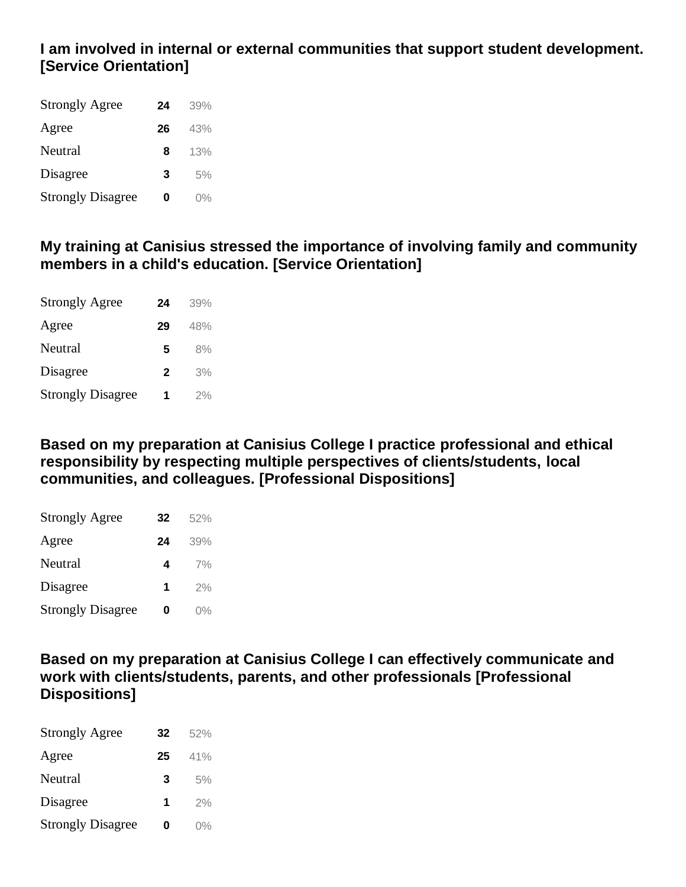# **I am involved in internal or external communities that support student development. [Service Orientation]**

| <b>Strongly Agree</b>    | 24 | 39%   |
|--------------------------|----|-------|
| Agree                    | 26 | 43%   |
| Neutral                  | 8  | 13%   |
| Disagree                 | 3  | 5%    |
| <b>Strongly Disagree</b> | Ω  | $0\%$ |

## **My training at Canisius stressed the importance of involving family and community members in a child's education. [Service Orientation]**

| <b>Strongly Agree</b>    | 24           | 39% |
|--------------------------|--------------|-----|
| Agree                    | 29           | 48% |
| Neutral                  | 5            | 8%  |
| Disagree                 | $\mathbf{2}$ | 3%  |
| <b>Strongly Disagree</b> | 1            | 2%  |

**Based on my preparation at Canisius College I practice professional and ethical responsibility by respecting multiple perspectives of clients/students, local communities, and colleagues. [Professional Dispositions]**

| <b>Strongly Agree</b>    | 32 | 52%   |
|--------------------------|----|-------|
| Agree                    | 24 | 39%   |
| Neutral                  | 4  | 7%    |
| Disagree                 | 1  | 2%    |
| <b>Strongly Disagree</b> | Ω  | $0\%$ |

**Based on my preparation at Canisius College I can effectively communicate and work with clients/students, parents, and other professionals [Professional Dispositions]**

| <b>Strongly Agree</b>    | 32 | 52%   |
|--------------------------|----|-------|
| Agree                    | 25 | 41%   |
| Neutral                  | 3  | 5%    |
| Disagree                 | 1  | 2%    |
| <b>Strongly Disagree</b> | 0  | $0\%$ |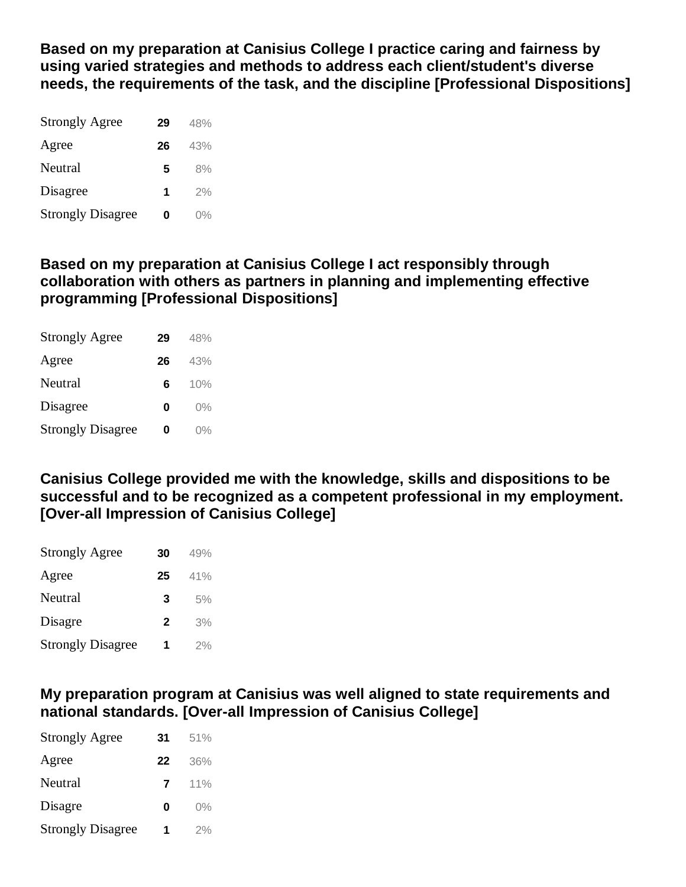**Based on my preparation at Canisius College I practice caring and fairness by using varied strategies and methods to address each client/student's diverse needs, the requirements of the task, and the discipline [Professional Dispositions]**

| <b>Strongly Agree</b>    | 29 | 48%   |
|--------------------------|----|-------|
| Agree                    | 26 | 43%   |
| Neutral                  | 5  | 8%    |
| Disagree                 | 1  | 2%    |
| <b>Strongly Disagree</b> | 0  | $0\%$ |

## **Based on my preparation at Canisius College I act responsibly through collaboration with others as partners in planning and implementing effective programming [Professional Dispositions]**

| <b>Strongly Agree</b>    | 29 | 48%   |
|--------------------------|----|-------|
| Agree                    | 26 | 43%   |
| Neutral                  | 6  | 10%   |
| Disagree                 | Ω  | $0\%$ |
| <b>Strongly Disagree</b> | Ω  | $0\%$ |

**Canisius College provided me with the knowledge, skills and dispositions to be successful and to be recognized as a competent professional in my employment. [Over-all Impression of Canisius College]**

| <b>Strongly Agree</b>    | 30           | 49% |
|--------------------------|--------------|-----|
| Agree                    | 25           | 41% |
| Neutral                  | 3            | 5%  |
| Disagre                  | $\mathbf{2}$ | 3%  |
| <b>Strongly Disagree</b> | 1            | 2%  |

## **My preparation program at Canisius was well aligned to state requirements and national standards. [Over-all Impression of Canisius College]**

| <b>Strongly Agree</b>    | 31 | 51%   |
|--------------------------|----|-------|
| Agree                    | 22 | 36%   |
| Neutral                  | 7  | 11%   |
| Disagre                  | Ω  | $0\%$ |
| <b>Strongly Disagree</b> | 1  | 2%    |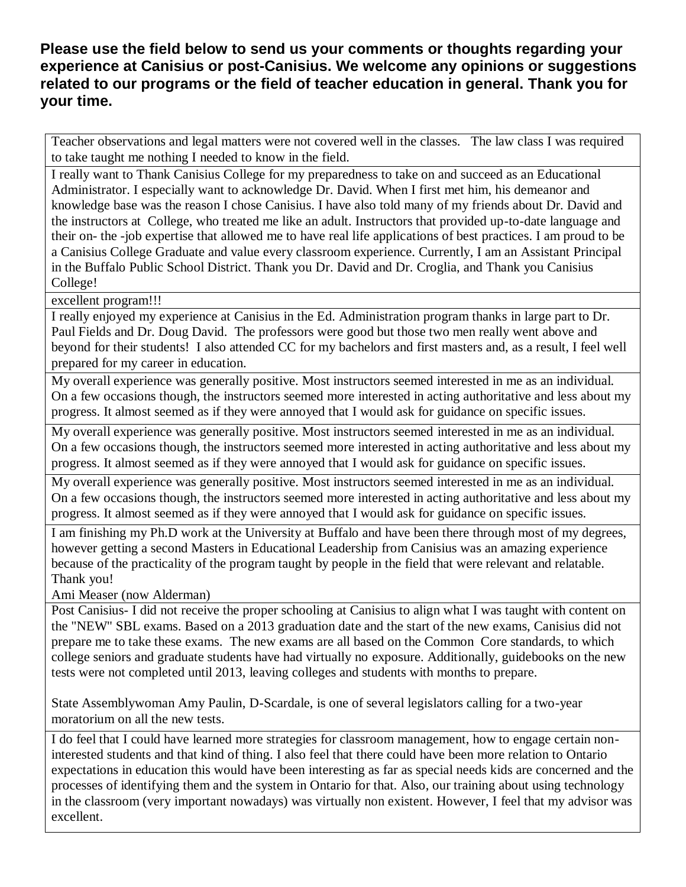## **Please use the field below to send us your comments or thoughts regarding your experience at Canisius or post-Canisius. We welcome any opinions or suggestions related to our programs or the field of teacher education in general. Thank you for your time.**

Teacher observations and legal matters were not covered well in the classes. The law class I was required to take taught me nothing I needed to know in the field.

I really want to Thank Canisius College for my preparedness to take on and succeed as an Educational Administrator. I especially want to acknowledge Dr. David. When I first met him, his demeanor and knowledge base was the reason I chose Canisius. I have also told many of my friends about Dr. David and the instructors at College, who treated me like an adult. Instructors that provided up-to-date language and their on- the -job expertise that allowed me to have real life applications of best practices. I am proud to be a Canisius College Graduate and value every classroom experience. Currently, I am an Assistant Principal in the Buffalo Public School District. Thank you Dr. David and Dr. Croglia, and Thank you Canisius College!

excellent program!!!

I really enjoyed my experience at Canisius in the Ed. Administration program thanks in large part to Dr. Paul Fields and Dr. Doug David. The professors were good but those two men really went above and beyond for their students! I also attended CC for my bachelors and first masters and, as a result, I feel well prepared for my career in education.

My overall experience was generally positive. Most instructors seemed interested in me as an individual. On a few occasions though, the instructors seemed more interested in acting authoritative and less about my progress. It almost seemed as if they were annoyed that I would ask for guidance on specific issues.

My overall experience was generally positive. Most instructors seemed interested in me as an individual. On a few occasions though, the instructors seemed more interested in acting authoritative and less about my progress. It almost seemed as if they were annoyed that I would ask for guidance on specific issues.

My overall experience was generally positive. Most instructors seemed interested in me as an individual. On a few occasions though, the instructors seemed more interested in acting authoritative and less about my progress. It almost seemed as if they were annoyed that I would ask for guidance on specific issues.

I am finishing my Ph.D work at the University at Buffalo and have been there through most of my degrees, however getting a second Masters in Educational Leadership from Canisius was an amazing experience because of the practicality of the program taught by people in the field that were relevant and relatable. Thank you!

Ami Measer (now Alderman)

Post Canisius- I did not receive the proper schooling at Canisius to align what I was taught with content on the "NEW" SBL exams. Based on a 2013 graduation date and the start of the new exams, Canisius did not prepare me to take these exams. The new exams are all based on the Common Core standards, to which college seniors and graduate students have had virtually no exposure. Additionally, guidebooks on the new tests were not completed until 2013, leaving colleges and students with months to prepare.

State Assemblywoman Amy Paulin, D-Scardale, is one of several legislators calling for a two-year moratorium on all the new tests.

I do feel that I could have learned more strategies for classroom management, how to engage certain noninterested students and that kind of thing. I also feel that there could have been more relation to Ontario expectations in education this would have been interesting as far as special needs kids are concerned and the processes of identifying them and the system in Ontario for that. Also, our training about using technology in the classroom (very important nowadays) was virtually non existent. However, I feel that my advisor was excellent.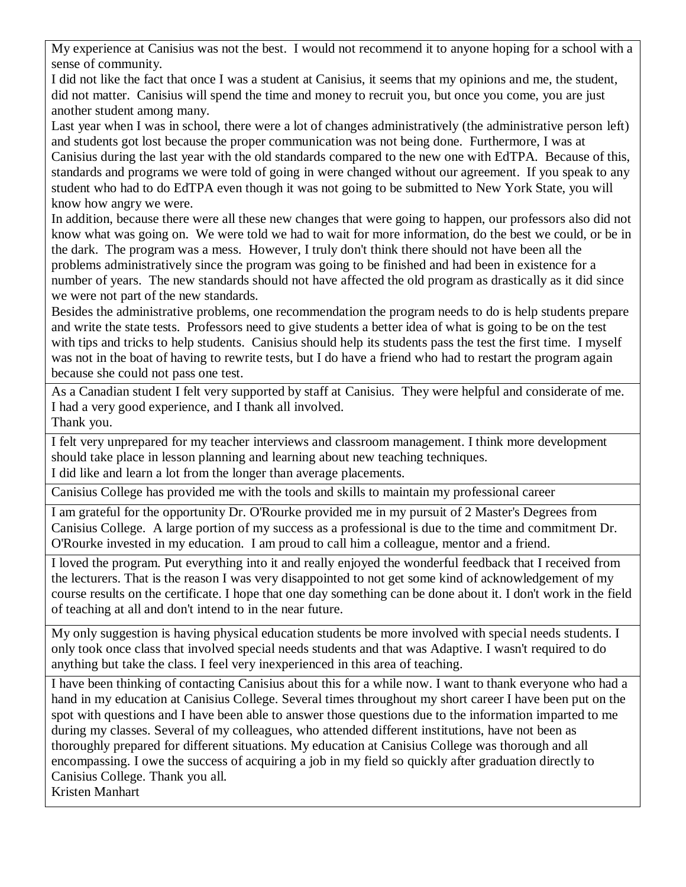My experience at Canisius was not the best. I would not recommend it to anyone hoping for a school with a sense of community.

I did not like the fact that once I was a student at Canisius, it seems that my opinions and me, the student, did not matter. Canisius will spend the time and money to recruit you, but once you come, you are just another student among many.

Last year when I was in school, there were a lot of changes administratively (the administrative person left) and students got lost because the proper communication was not being done. Furthermore, I was at Canisius during the last year with the old standards compared to the new one with EdTPA. Because of this, standards and programs we were told of going in were changed without our agreement. If you speak to any student who had to do EdTPA even though it was not going to be submitted to New York State, you will know how angry we were.

In addition, because there were all these new changes that were going to happen, our professors also did not know what was going on. We were told we had to wait for more information, do the best we could, or be in the dark. The program was a mess. However, I truly don't think there should not have been all the problems administratively since the program was going to be finished and had been in existence for a number of years. The new standards should not have affected the old program as drastically as it did since we were not part of the new standards.

Besides the administrative problems, one recommendation the program needs to do is help students prepare and write the state tests. Professors need to give students a better idea of what is going to be on the test with tips and tricks to help students. Canisius should help its students pass the test the first time. I myself was not in the boat of having to rewrite tests, but I do have a friend who had to restart the program again because she could not pass one test.

As a Canadian student I felt very supported by staff at Canisius. They were helpful and considerate of me. I had a very good experience, and I thank all involved. Thank you.

I felt very unprepared for my teacher interviews and classroom management. I think more development should take place in lesson planning and learning about new teaching techniques. I did like and learn a lot from the longer than average placements.

Canisius College has provided me with the tools and skills to maintain my professional career

I am grateful for the opportunity Dr. O'Rourke provided me in my pursuit of 2 Master's Degrees from Canisius College. A large portion of my success as a professional is due to the time and commitment Dr. O'Rourke invested in my education. I am proud to call him a colleague, mentor and a friend.

I loved the program. Put everything into it and really enjoyed the wonderful feedback that I received from the lecturers. That is the reason I was very disappointed to not get some kind of acknowledgement of my course results on the certificate. I hope that one day something can be done about it. I don't work in the field of teaching at all and don't intend to in the near future.

My only suggestion is having physical education students be more involved with special needs students. I only took once class that involved special needs students and that was Adaptive. I wasn't required to do anything but take the class. I feel very inexperienced in this area of teaching.

I have been thinking of contacting Canisius about this for a while now. I want to thank everyone who had a hand in my education at Canisius College. Several times throughout my short career I have been put on the spot with questions and I have been able to answer those questions due to the information imparted to me during my classes. Several of my colleagues, who attended different institutions, have not been as thoroughly prepared for different situations. My education at Canisius College was thorough and all encompassing. I owe the success of acquiring a job in my field so quickly after graduation directly to Canisius College. Thank you all. Kristen Manhart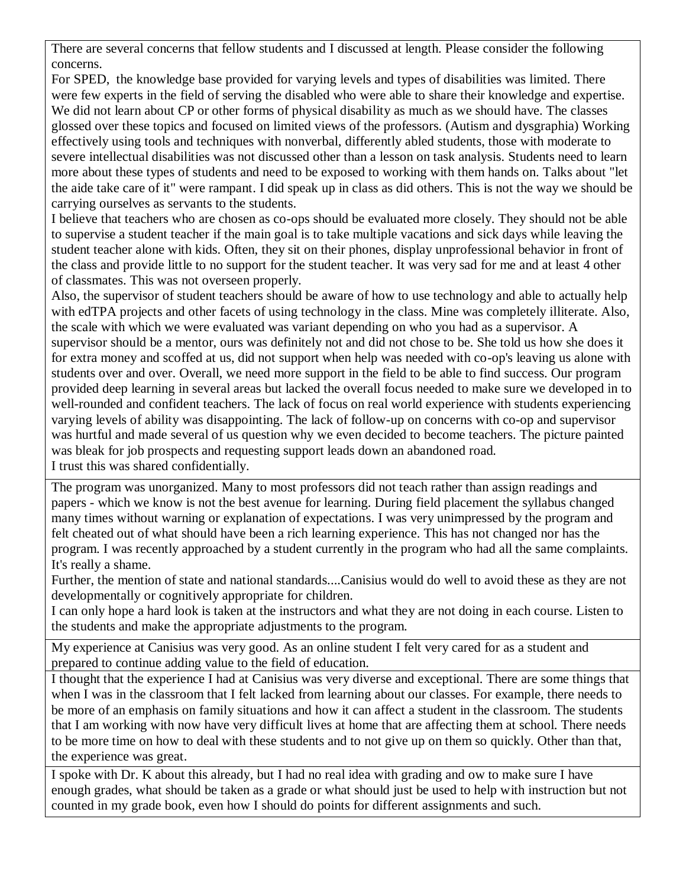There are several concerns that fellow students and I discussed at length. Please consider the following concerns.

For SPED, the knowledge base provided for varying levels and types of disabilities was limited. There were few experts in the field of serving the disabled who were able to share their knowledge and expertise. We did not learn about CP or other forms of physical disability as much as we should have. The classes glossed over these topics and focused on limited views of the professors. (Autism and dysgraphia) Working effectively using tools and techniques with nonverbal, differently abled students, those with moderate to severe intellectual disabilities was not discussed other than a lesson on task analysis. Students need to learn more about these types of students and need to be exposed to working with them hands on. Talks about "let the aide take care of it" were rampant. I did speak up in class as did others. This is not the way we should be carrying ourselves as servants to the students.

I believe that teachers who are chosen as co-ops should be evaluated more closely. They should not be able to supervise a student teacher if the main goal is to take multiple vacations and sick days while leaving the student teacher alone with kids. Often, they sit on their phones, display unprofessional behavior in front of the class and provide little to no support for the student teacher. It was very sad for me and at least 4 other of classmates. This was not overseen properly.

Also, the supervisor of student teachers should be aware of how to use technology and able to actually help with edTPA projects and other facets of using technology in the class. Mine was completely illiterate. Also, the scale with which we were evaluated was variant depending on who you had as a supervisor. A supervisor should be a mentor, ours was definitely not and did not chose to be. She told us how she does it for extra money and scoffed at us, did not support when help was needed with co-op's leaving us alone with students over and over. Overall, we need more support in the field to be able to find success. Our program provided deep learning in several areas but lacked the overall focus needed to make sure we developed in to well-rounded and confident teachers. The lack of focus on real world experience with students experiencing varying levels of ability was disappointing. The lack of follow-up on concerns with co-op and supervisor was hurtful and made several of us question why we even decided to become teachers. The picture painted was bleak for job prospects and requesting support leads down an abandoned road. I trust this was shared confidentially.

The program was unorganized. Many to most professors did not teach rather than assign readings and papers - which we know is not the best avenue for learning. During field placement the syllabus changed many times without warning or explanation of expectations. I was very unimpressed by the program and felt cheated out of what should have been a rich learning experience. This has not changed nor has the program. I was recently approached by a student currently in the program who had all the same complaints. It's really a shame.

Further, the mention of state and national standards....Canisius would do well to avoid these as they are not developmentally or cognitively appropriate for children.

I can only hope a hard look is taken at the instructors and what they are not doing in each course. Listen to the students and make the appropriate adjustments to the program.

My experience at Canisius was very good. As an online student I felt very cared for as a student and prepared to continue adding value to the field of education.

I thought that the experience I had at Canisius was very diverse and exceptional. There are some things that when I was in the classroom that I felt lacked from learning about our classes. For example, there needs to be more of an emphasis on family situations and how it can affect a student in the classroom. The students that I am working with now have very difficult lives at home that are affecting them at school. There needs to be more time on how to deal with these students and to not give up on them so quickly. Other than that, the experience was great.

I spoke with Dr. K about this already, but I had no real idea with grading and ow to make sure I have enough grades, what should be taken as a grade or what should just be used to help with instruction but not counted in my grade book, even how I should do points for different assignments and such.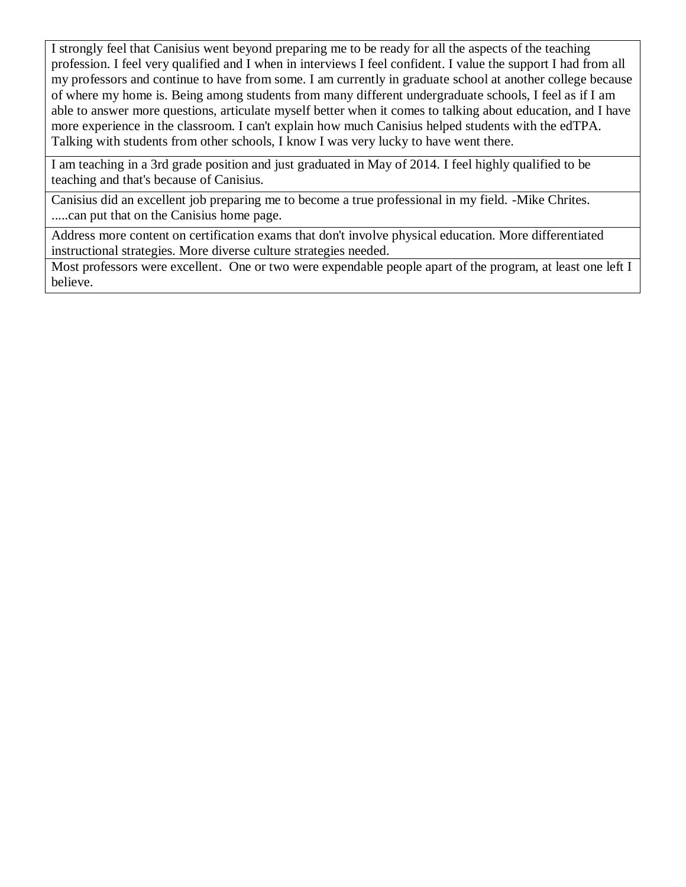I strongly feel that Canisius went beyond preparing me to be ready for all the aspects of the teaching profession. I feel very qualified and I when in interviews I feel confident. I value the support I had from all my professors and continue to have from some. I am currently in graduate school at another college because of where my home is. Being among students from many different undergraduate schools, I feel as if I am able to answer more questions, articulate myself better when it comes to talking about education, and I have more experience in the classroom. I can't explain how much Canisius helped students with the edTPA. Talking with students from other schools, I know I was very lucky to have went there.

I am teaching in a 3rd grade position and just graduated in May of 2014. I feel highly qualified to be teaching and that's because of Canisius.

Canisius did an excellent job preparing me to become a true professional in my field. -Mike Chrites. .....can put that on the Canisius home page.

Address more content on certification exams that don't involve physical education. More differentiated instructional strategies. More diverse culture strategies needed.

Most professors were excellent. One or two were expendable people apart of the program, at least one left I believe.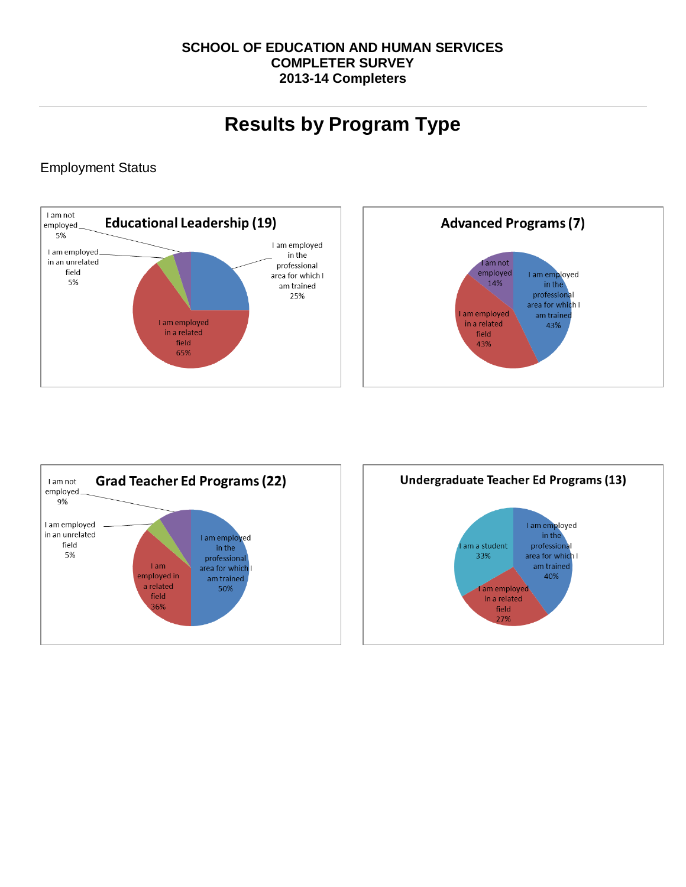## **SCHOOL OF EDUCATION AND HUMAN SERVICES COMPLETER SURVEY 2013-14 Completers**

# **Results by Program Type**

## Employment Status





I am employed

in the

professional

area for which I

am trained

40%

field 7%

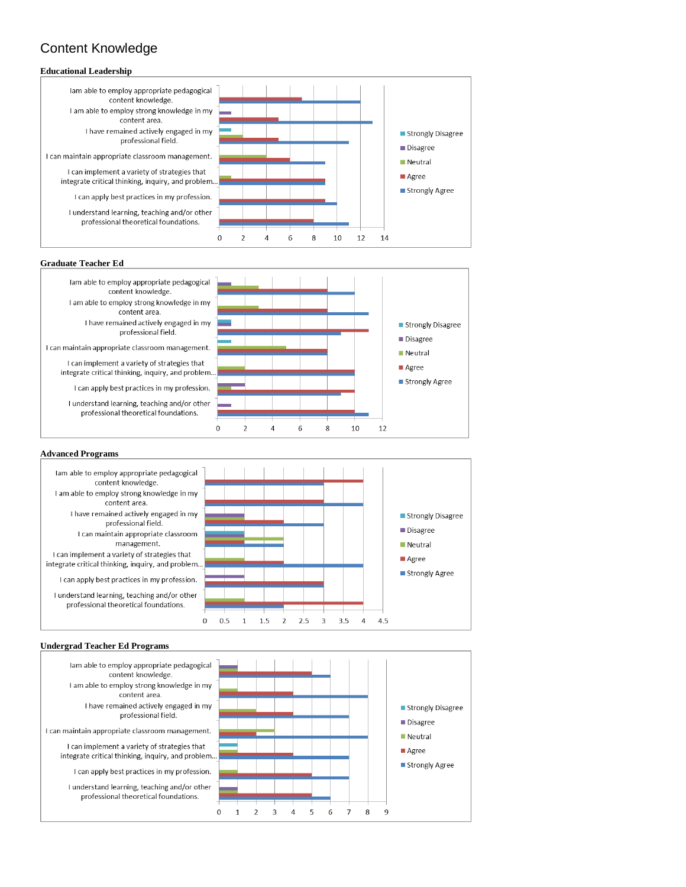# Content Knowledge

### **Educational Leadership**

lam able to employ appropriate pedagogical content knowledge I am able to employ strong knowledge in my content area. I have remained actively engaged in my professional field. I can maintain appropriate classroom management.

I can implement a variety of strategies that integrate critical thinking, inquiry, and problem...

I can apply best practices in my profession.

I understand learning, teaching and/or other professional theoretical foundations.



### **Graduate Teacher Ed**

lam able to employ appropriate pedagogical content knowledge. I am able to employ strong knowledge in my content area. I have remained actively engaged in my professional field.

I can maintain appropriate classroom management.

I can implement a variety of strategies that integrate critical thinking, inquiry, and problem..

I can apply best practices in my profession.

I understand learning, teaching and/or other professional theoretical foundations.

#### **Advanced Programs**

lam able to employ appropriate pedagogical content knowledge. I am able to employ strong knowledge in my content area. I have remained actively engaged in my professional field. I can maintain appropriate classroom management. I can implement a variety of strategies that integrate critical thinking, inquiry, and problem... I can apply best practices in my profession. I understand learning, teaching and/or other professional theoretical foundations.



lam able to employ appropriate pedagogical content knowledge. I am able to employ strong knowledge in my content area. I have remained actively engaged in my professional field. I can maintain appropriate classroom management. I can implement a variety of strategies that integrate critical thinking, inquiry, and problem.. I can apply best practices in my profession. I understand learning, teaching and/or other professional theoretical foundations.





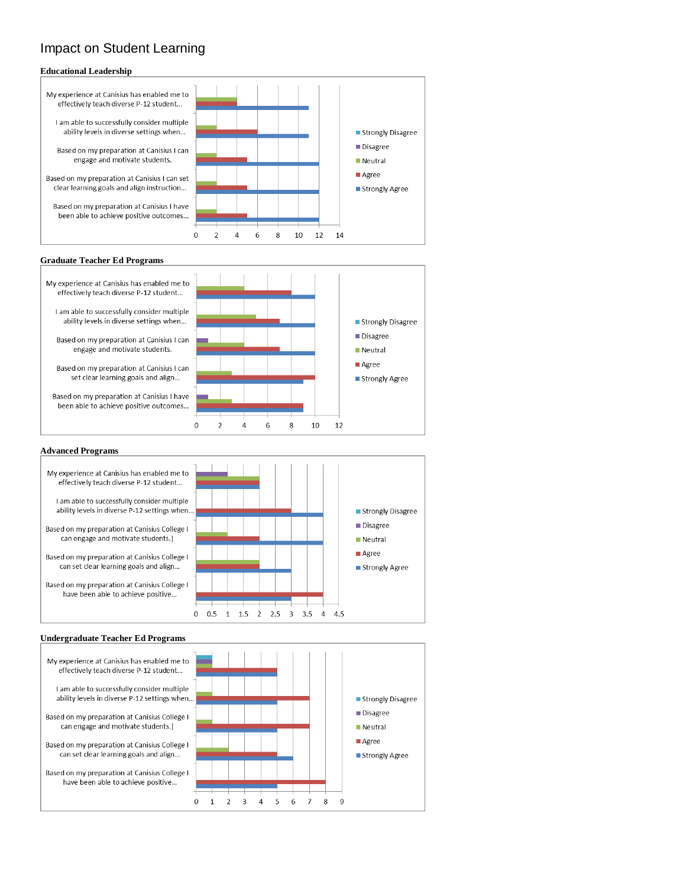## Impact on Student Learning

### **Educational Leadership**

- My experience at Canisius has enabled me to effectively teach diverse P-12 student...
	- I am able to successfully consider multiple ability levels in diverse settings when...
	- Based on my preparation at Canisius I can engage and motivate students.
- Based on my preparation at Canisius I can set clear learning goals and align instruction...
- Based on my preparation at Canisius I have been able to achieve positive outcomes...



### **Graduate Teacher Ed Programs**

- My experience at Canisius has enabled me to effectively teach diverse P-12 student...
	- I am able to successfully consider multiple ability levels in diverse settings when...
	- Based on my preparation at Canisius I can engage and motivate students.
	- Based on my preparation at Canisius I can set clear learning goals and align..
- Based on my preparation at Canisius I have been able to achieve positive outcomes...



### **Advanced Programs**

My experience at Canisius has enabled me to effectively teach diverse P-12 student... I am able to successfully consider multiple ability levels in diverse P-12 settings when... Strongly Disagree Disagree Based on my preparation at Canisius College I can engage and motivate students.] Meutral Agree Based on my preparation at Canisius College I can set clear learning goals and align.. ■ Strongly Agree Based on my preparation at Canisius College I have been able to achieve positive...  $0\quad 0.5\quad 1\quad 1.5\quad 2\quad 2.5\quad 3\quad 3.5\quad 4\quad 4.5$ 

### **Undergraduate Teacher Ed Programs**

My experience at Canisius has enabled me to effectively teach diverse P-12 student... I am able to successfully consider multiple ability levels in diverse P-12 settings when... Based on my preparation at Canisius College I can engage and motivate students.] Based on my preparation at Canisius College I can set clear learning goals and align... Based on my preparation at Canisius College I have been able to achieve positive...

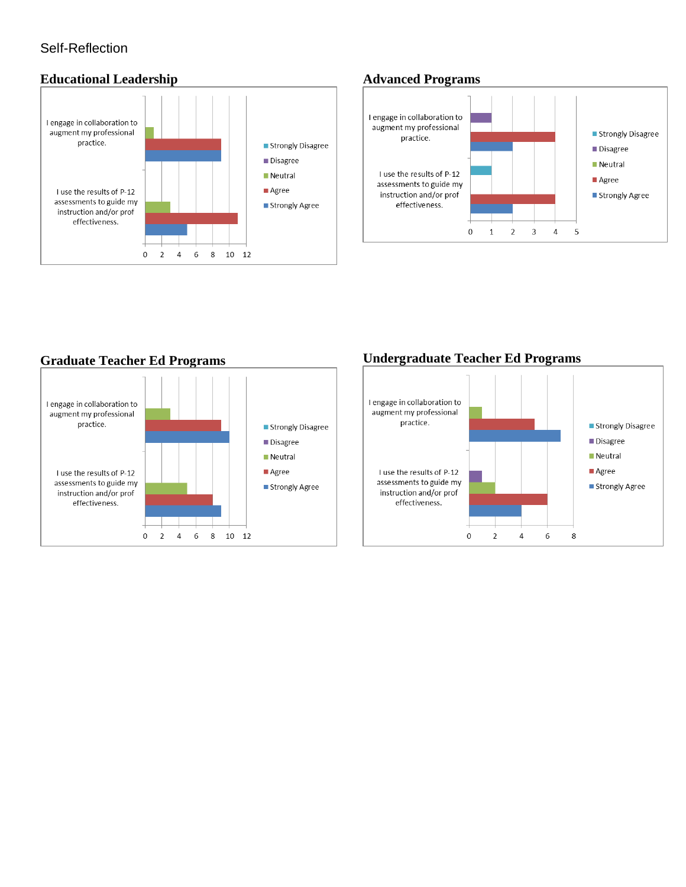## Self-Reflection

## **Educational Leadership**



## **Advanced Programs**



## **Graduate Teacher Ed Programs**



## **Undergraduate Teacher Ed Programs**

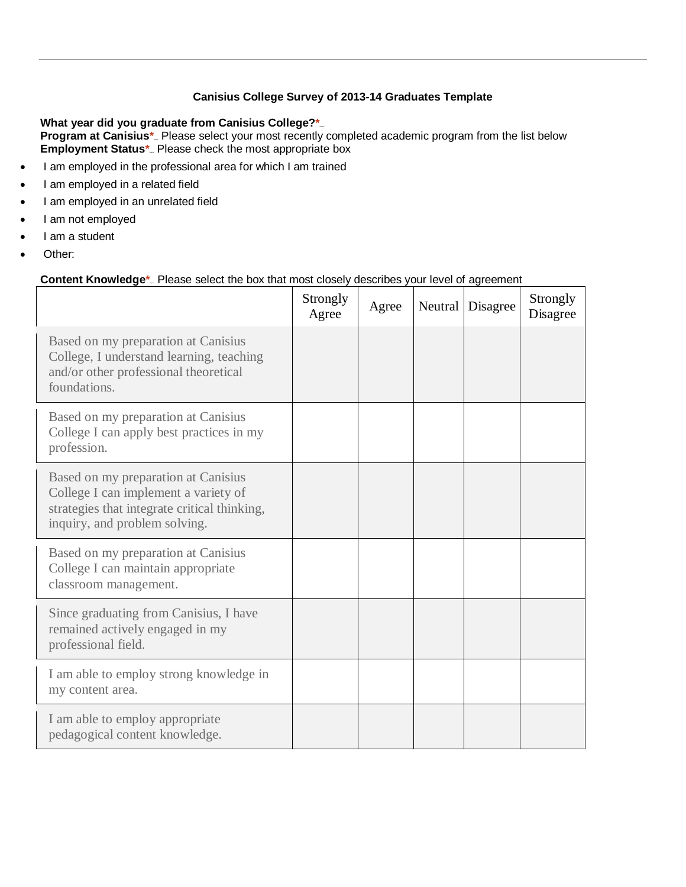### **Canisius College Survey of 2013-14 Graduates Template**

What year did you graduate from Canisius College?\*\_ **Program at Canisius\*** Please select your most recently completed academic program from the list below **Employment Status\*** Please check the most appropriate box

- I am employed in the professional area for which I am trained
- I am employed in a related field
- I am employed in an unrelated field
- I am not employed
- I am a student
- Other:

### **Content Knowledge**<sup>\*</sup> Please select the box that most closely describes your level of agreement

|                                                                                                                                                              | Strongly<br>Agree | Agree | Neutral | Disagree | Strongly<br>Disagree |
|--------------------------------------------------------------------------------------------------------------------------------------------------------------|-------------------|-------|---------|----------|----------------------|
| Based on my preparation at Canisius<br>College, I understand learning, teaching<br>and/or other professional theoretical<br>foundations.                     |                   |       |         |          |                      |
| Based on my preparation at Canisius<br>College I can apply best practices in my<br>profession.                                                               |                   |       |         |          |                      |
| Based on my preparation at Canisius<br>College I can implement a variety of<br>strategies that integrate critical thinking,<br>inquiry, and problem solving. |                   |       |         |          |                      |
| Based on my preparation at Canisius<br>College I can maintain appropriate<br>classroom management.                                                           |                   |       |         |          |                      |
| Since graduating from Canisius, I have<br>remained actively engaged in my<br>professional field.                                                             |                   |       |         |          |                      |
| I am able to employ strong knowledge in<br>my content area.                                                                                                  |                   |       |         |          |                      |
| I am able to employ appropriate<br>pedagogical content knowledge.                                                                                            |                   |       |         |          |                      |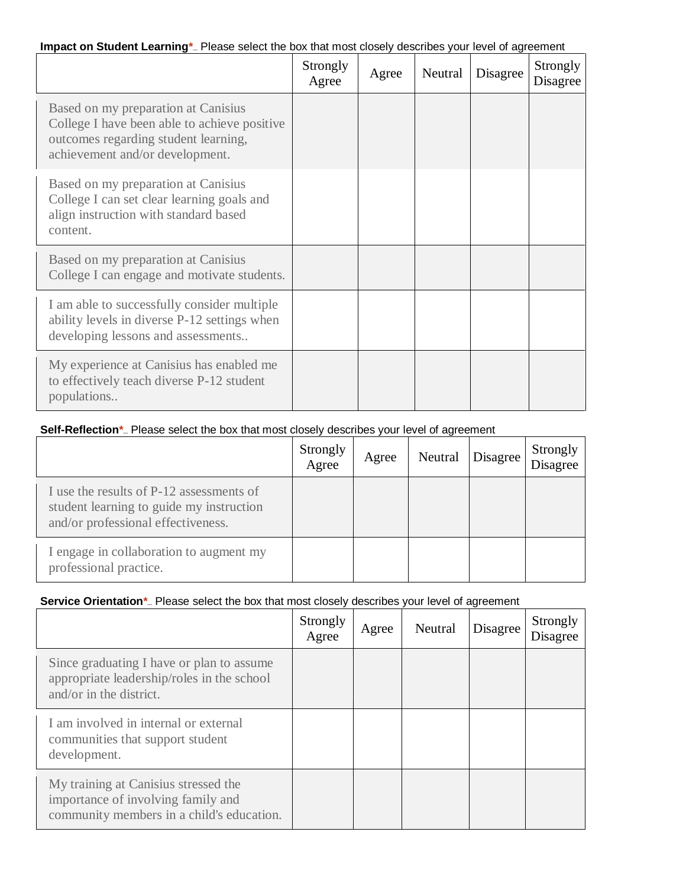## **Impact on Student Learning\*** Please select the box that most closely describes your level of agreement

|                                                                                                                                                                | Strongly<br>Agree | Agree | Neutral | Disagree | Strongly<br>Disagree |
|----------------------------------------------------------------------------------------------------------------------------------------------------------------|-------------------|-------|---------|----------|----------------------|
| Based on my preparation at Canisius<br>College I have been able to achieve positive<br>outcomes regarding student learning,<br>achievement and/or development. |                   |       |         |          |                      |
| Based on my preparation at Canisius<br>College I can set clear learning goals and<br>align instruction with standard based<br>content.                         |                   |       |         |          |                      |
| Based on my preparation at Canisius<br>College I can engage and motivate students.                                                                             |                   |       |         |          |                      |
| I am able to successfully consider multiple<br>ability levels in diverse P-12 settings when<br>developing lessons and assessments                              |                   |       |         |          |                      |
| My experience at Canisius has enabled me<br>to effectively teach diverse P-12 student<br>populations                                                           |                   |       |         |          |                      |

### **Self-Reflection\*** Please select the box that most closely describes your level of agreement

|                                                                                                                            | Strongly<br>Agree | Agree | Neutral | Disagree | Strongly<br>Disagree |
|----------------------------------------------------------------------------------------------------------------------------|-------------------|-------|---------|----------|----------------------|
| I use the results of P-12 assessments of<br>student learning to guide my instruction<br>and/or professional effectiveness. |                   |       |         |          |                      |
| I engage in collaboration to augment my<br>professional practice.                                                          |                   |       |         |          |                      |

## **Service Orientation\*** Please select the box that most closely describes your level of agreement

|                                                                                                                         | Strongly<br>Agree | Agree | Neutral | Disagree | Strongly<br>Disagree |
|-------------------------------------------------------------------------------------------------------------------------|-------------------|-------|---------|----------|----------------------|
| Since graduating I have or plan to assume<br>appropriate leadership/roles in the school<br>and/or in the district.      |                   |       |         |          |                      |
| I am involved in internal or external<br>communities that support student<br>development.                               |                   |       |         |          |                      |
| My training at Canisius stressed the<br>importance of involving family and<br>community members in a child's education. |                   |       |         |          |                      |